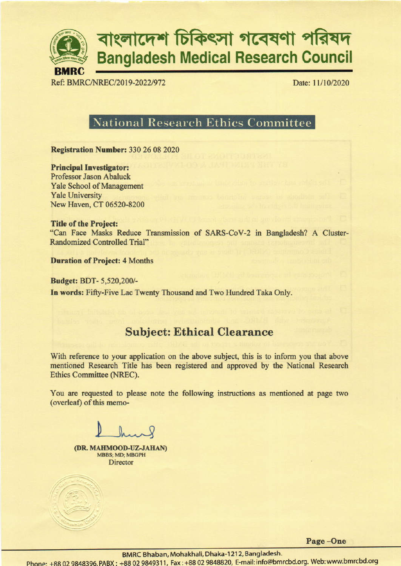

# বাংলাদেশ চিকিৎসা গবেষণা পরিষদ **Bangladesh Medical Research Council**

Ref: BMRC/NREC/2019-2022/972

Date: 11/10/2020

## **National Research Ethics Committee**

**Registration Number: 330 26 08 2020** 

**Principal Investigator: Professor Jason Abaluck Yale School of Management Yale University** New Haven, CT 06520-8200

**Title of the Project:** "Can Face Masks Reduce Transmission of SARS-CoV-2 in Bangladesh? A Cluster-**Randomized Controlled Trial"** 

**Duration of Project: 4 Months** 

**Budget: BDT-5,520,200/-**In words: Fifty-Five Lac Twenty Thousand and Two Hundred Taka Only.

## **Subject: Ethical Clearance**

With reference to your application on the above subject, this is to inform you that above mentioned Research Title has been registered and approved by the National Research Ethics Committee (NREC).

You are requested to please note the following instructions as mentioned at page two (overleaf) of this memo-

(DR. MAHMOOD-UZ-JAHAN) MBBS; MD; MBGPH **Director** 

Page-One

BMRC Bhaban, Mohakhali, Dhaka-1212, Bangladesh.